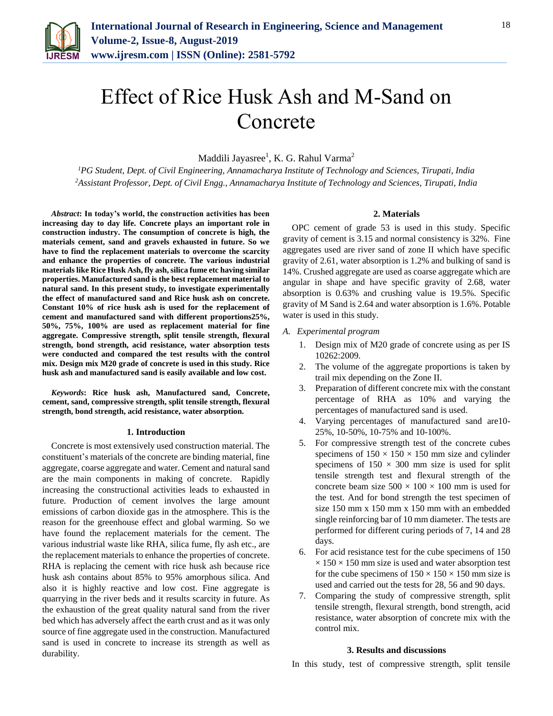

# Effect of Rice Husk Ash and M-Sand on Concrete

Maddili Jayasree<sup>1</sup>, K. G. Rahul Varma<sup>2</sup>

*<sup>1</sup>PG Student, Dept. of Civil Engineering, Annamacharya Institute of Technology and Sciences, Tirupati, India 2Assistant Professor, Dept. of Civil Engg., Annamacharya Institute of Technology and Sciences, Tirupati, India*

*Abstract***: In today's world, the construction activities has been increasing day to day life. Concrete plays an important role in construction industry. The consumption of concrete is high, the materials cement, sand and gravels exhausted in future. So we have to find the replacement materials to overcome the scarcity and enhance the properties of concrete. The various industrial materials like Rice Husk Ash, fly ash, silica fume etc having similar properties. Manufactured sand is the best replacement material to natural sand. In this present study, to investigate experimentally the effect of manufactured sand and Rice husk ash on concrete. Constant 10% of rice husk ash is used for the replacement of cement and manufactured sand with different proportions25%, 50%, 75%, 100% are used as replacement material for fine aggregate. Compressive strength, split tensile strength, flexural strength, bond strength, acid resistance, water absorption tests were conducted and compared the test results with the control mix. Design mix M20 grade of concrete is used in this study. Rice husk ash and manufactured sand is easily available and low cost.**

*Keywords***: Rice husk ash, Manufactured sand, Concrete, cement, sand, compressive strength, split tensile strength, flexural strength, bond strength, acid resistance, water absorption.**

#### **1. Introduction**

Concrete is most extensively used construction material. The constituent's materials of the concrete are binding material, fine aggregate, coarse aggregate and water. Cement and natural sand are the main components in making of concrete. Rapidly increasing the constructional activities leads to exhausted in future. Production of cement involves the large amount emissions of carbon dioxide gas in the atmosphere. This is the reason for the greenhouse effect and global warming. So we have found the replacement materials for the cement. The various industrial waste like RHA, silica fume, fly ash etc., are the replacement materials to enhance the properties of concrete. RHA is replacing the cement with rice husk ash because rice husk ash contains about 85% to 95% amorphous silica. And also it is highly reactive and low cost. Fine aggregate is quarrying in the river beds and it results scarcity in future. As the exhaustion of the great quality natural sand from the river bed which has adversely affect the earth crust and as it was only source of fine aggregate used in the construction. Manufactured sand is used in concrete to increase its strength as well as durability.

## **2. Materials**

OPC cement of grade 53 is used in this study. Specific gravity of cement is 3.15 and normal consistency is 32%. Fine aggregates used are river sand of zone II which have specific gravity of 2.61, water absorption is 1.2% and bulking of sand is 14%. Crushed aggregate are used as coarse aggregate which are angular in shape and have specific gravity of 2.68, water absorption is 0.63% and crushing value is 19.5%. Specific gravity of M Sand is 2.64 and water absorption is 1.6%. Potable water is used in this study.

- *A. Experimental program*
	- 1. Design mix of M20 grade of concrete using as per IS 10262:2009.
	- 2. The volume of the aggregate proportions is taken by trail mix depending on the Zone II.
	- 3. Preparation of different concrete mix with the constant percentage of RHA as 10% and varying the percentages of manufactured sand is used.
	- 4. Varying percentages of manufactured sand are10- 25%, 10-50%, 10-75% and 10-100%.
	- 5. For compressive strength test of the concrete cubes specimens of  $150 \times 150 \times 150$  mm size and cylinder specimens of  $150 \times 300$  mm size is used for split tensile strength test and flexural strength of the concrete beam size  $500 \times 100 \times 100$  mm is used for the test. And for bond strength the test specimen of size 150 mm x 150 mm x 150 mm with an embedded single reinforcing bar of 10 mm diameter. The tests are performed for different curing periods of 7, 14 and 28 days.
	- 6. For acid resistance test for the cube specimens of 150  $\times$  150  $\times$  150 mm size is used and water absorption test for the cube specimens of  $150 \times 150 \times 150$  mm size is used and carried out the tests for 28, 56 and 90 days.
	- 7. Comparing the study of compressive strength, split tensile strength, flexural strength, bond strength, acid resistance, water absorption of concrete mix with the control mix.

#### **3. Results and discussions**

In this study, test of compressive strength, split tensile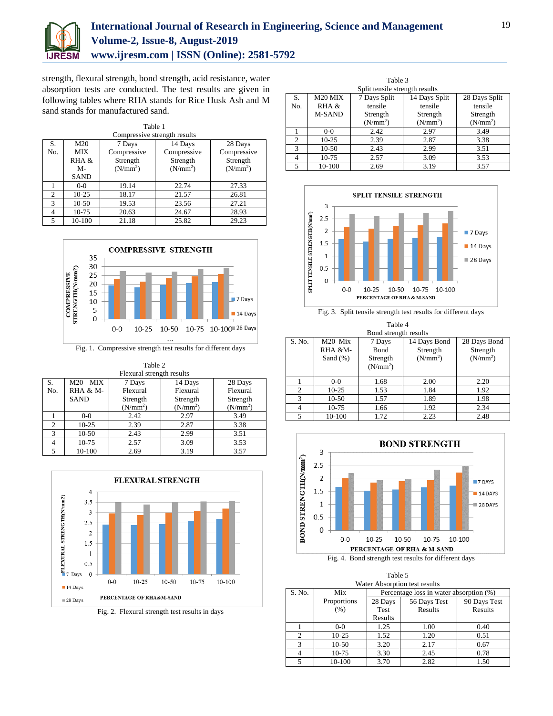

# **International Journal of Research in Engineering, Science and Management Volume-2, Issue-8, August-2019 www.ijresm.com | ISSN (Online): 2581-5792**

strength, flexural strength, bond strength, acid resistance, water absorption tests are conducted. The test results are given in following tables where RHA stands for Rice Husk Ash and M sand stands for manufactured sand.

| Table 1                      |                                     |                      |                      |                      |  |  |
|------------------------------|-------------------------------------|----------------------|----------------------|----------------------|--|--|
| Compressive strength results |                                     |                      |                      |                      |  |  |
| S.                           | M20<br>14 Days<br>28 Days<br>7 Days |                      |                      |                      |  |  |
| No.                          | <b>MIX</b>                          | Compressive          | Compressive          | Compressive          |  |  |
|                              | RHA &<br>Strength                   |                      | Strength             | Strength             |  |  |
|                              | $M -$                               | (N/mm <sup>2</sup> ) | (N/mm <sup>2</sup> ) | (N/mm <sup>2</sup> ) |  |  |
|                              | SAND                                |                      |                      |                      |  |  |
|                              | $0 - 0$                             | 19.14                | 22.74                | 27.33                |  |  |
| 2                            | $10-25$                             | 18.17                | 21.57                | 26.81                |  |  |
| $\mathbf{3}$                 | $10-50$                             | 19.53                | 23.56                | 27.21                |  |  |
|                              | 10-75                               | 20.63                | 24.67                | 28.93                |  |  |
| 5.                           | 10-100                              | 21.18                | 25.82                | 29.23                |  |  |



Fig. 1. Compressive strength test results for different days

| Table 2       |                                                               |                           |                      |                      |  |  |
|---------------|---------------------------------------------------------------|---------------------------|----------------------|----------------------|--|--|
|               |                                                               | Flexural strength results |                      |                      |  |  |
| S.            | 14 Days<br>M <sub>20</sub><br><b>MIX</b><br>7 Days<br>28 Days |                           |                      |                      |  |  |
| No.           | RHA & M-                                                      | Flexural                  | Flexural             | Flexural             |  |  |
|               | <b>SAND</b>                                                   | Strength                  | Strength             | Strength             |  |  |
|               |                                                               | (N/mm <sup>2</sup> )      | (N/mm <sup>2</sup> ) | (N/mm <sup>2</sup> ) |  |  |
|               | $0-0$                                                         | 2.42                      | 2.97                 | 3.49                 |  |  |
| 2             | $10-25$                                                       | 2.39                      | 2.87                 | 3.38                 |  |  |
| $\mathcal{R}$ | $10-50$                                                       | 2.43                      | 2.99                 | 3.51                 |  |  |
| 4             | 10-75                                                         | 2.57                      | 3.09                 | 3.53                 |  |  |
| 5             | 10-100                                                        | 2.69                      | 3.19                 | 3.57                 |  |  |



Fig. 2. Flexural strength test results in days

| Table 3<br>Split tensile strength results |                                                                       |                      |                      |                      |  |  |
|-------------------------------------------|-----------------------------------------------------------------------|----------------------|----------------------|----------------------|--|--|
| S.                                        | M <sub>20</sub> MIX<br>14 Days Split<br>7 Days Split<br>28 Days Split |                      |                      |                      |  |  |
| No.                                       | RHA &<br>tensile                                                      |                      | tensile              | tensile              |  |  |
|                                           | <b>M-SAND</b><br>Strength                                             |                      | Strength             | Strength             |  |  |
|                                           |                                                                       | (N/mm <sup>2</sup> ) | (N/mm <sup>2</sup> ) | (N/mm <sup>2</sup> ) |  |  |
|                                           | $0-0$                                                                 | 2.42                 | 2.97                 | 3.49                 |  |  |
| $\mathfrak{D}$                            | $10 - 25$                                                             | 2.39                 | 2.87                 | 3.38                 |  |  |
| 3                                         | $10-50$                                                               | 2.43                 | 2.99                 | 3.51                 |  |  |
| 4                                         | 10-75                                                                 | 2.57                 | 3.09                 | 3.53                 |  |  |
| 5                                         | 10-100                                                                | 2.69                 | 3.19                 | 3.57                 |  |  |



Fig. 3. Split tensile strength test results for different days

| Table 4        |                                                   |                      |                      |                      |  |  |
|----------------|---------------------------------------------------|----------------------|----------------------|----------------------|--|--|
|                | Bond strength results                             |                      |                      |                      |  |  |
| S. No.         | M20 Mix<br>14 Days Bond<br>28 Days Bond<br>7 Days |                      |                      |                      |  |  |
|                | RHA &M-                                           | Bond                 | Strength             | Strength             |  |  |
|                | Sand $(\%)$                                       | Strength             | (N/mm <sup>2</sup> ) | (N/mm <sup>2</sup> ) |  |  |
|                |                                                   | (N/mm <sup>2</sup> ) |                      |                      |  |  |
|                |                                                   |                      |                      |                      |  |  |
|                | $0-0$                                             | 1.68                 | 2.00                 | 2.20                 |  |  |
| $\overline{c}$ | $10-25$                                           | 1.53                 | 1.84                 | 1.92                 |  |  |
| 3              | $10-50$                                           | 1.57                 | 1.89                 | 1.98                 |  |  |
|                | 10-75                                             | 1.66                 | 1.92                 | 2.34                 |  |  |
|                | 10-100                                            | 1.72                 | 2.23                 | 2.48                 |  |  |



| Table 5<br>Water Absorption test results |             |                                         |         |              |  |
|------------------------------------------|-------------|-----------------------------------------|---------|--------------|--|
| S. No.                                   | Mix         | Percentage loss in water absorption (%) |         |              |  |
|                                          | Proportions | 28 Days<br>56 Days Test                 |         | 90 Days Test |  |
|                                          | (% )        | Test                                    | Results | Results      |  |
|                                          |             | Results                                 |         |              |  |
|                                          | $0-0$       | 1.25                                    | 1.00    | 0.40         |  |
| $\mathfrak{D}_{1}$                       | $10-25$     | 1.52                                    | 1.20    | 0.51         |  |
| 3                                        | $10-50$     | 3.20                                    | 2.17    | 0.67         |  |
|                                          | $10-75$     | 3.30                                    | 2.45    | 0.78         |  |
| 5                                        | 10-100      | 3.70                                    | 2.82    | 1.50         |  |